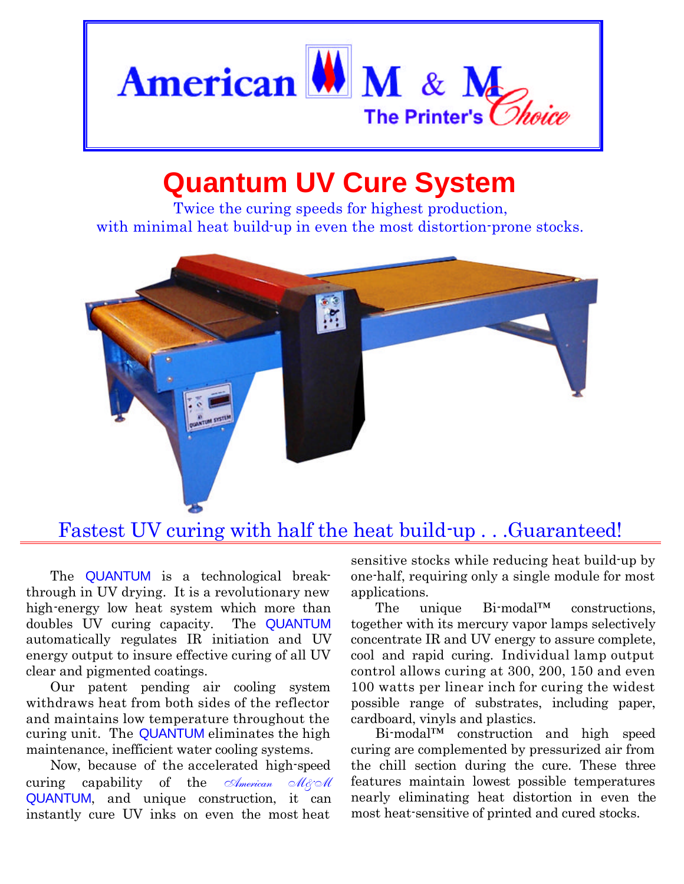

## **Quantum UV Cure System**

Twice the curing speeds for highest production, with minimal heat build-up in even the most distortion-prone stocks.



## Fastest UV curing with half the heat build-up . . .Guaranteed!

The **QUANTUM** is a technological breakthrough in UV drying. It is a revolutionary new high-energy low heat system which more than doubles UV curing capacity. The QUANTUM automatically regulates IR initiation and UV energy output to insure effective curing of all UV clear and pigmented coatings.

Our patent pending air cooling system withdraws heat from both sides of the reflector and maintains low temperature throughout the curing unit. The QUANTUM eliminates the high maintenance, inefficient water cooling systems.

Now, because of the accelerated high-speed curing capability of the *American Mgoll* QUANTUM, and unique construction, it can instantly cure UV inks on even the most heat

sensitive stocks while reducing heat build-up by one-half, requiring only a single module for most applications.

The unique Bi-modal™ constructions, together with its mercury vapor lamps selectively concentrate IR and UV energy to assure complete, cool and rapid curing. Individual lamp output control allows curing at 300, 200, 150 and even 100 watts per linear inch for curing the widest possible range of substrates, including paper, cardboard, vinyls and plastics.

Bi-modal™ construction and high speed curing are complemented by pressurized air from the chill section during the cure. These three features maintain lowest possible temperatures nearly eliminating heat distortion in even the most heat-sensitive of printed and cured stocks.